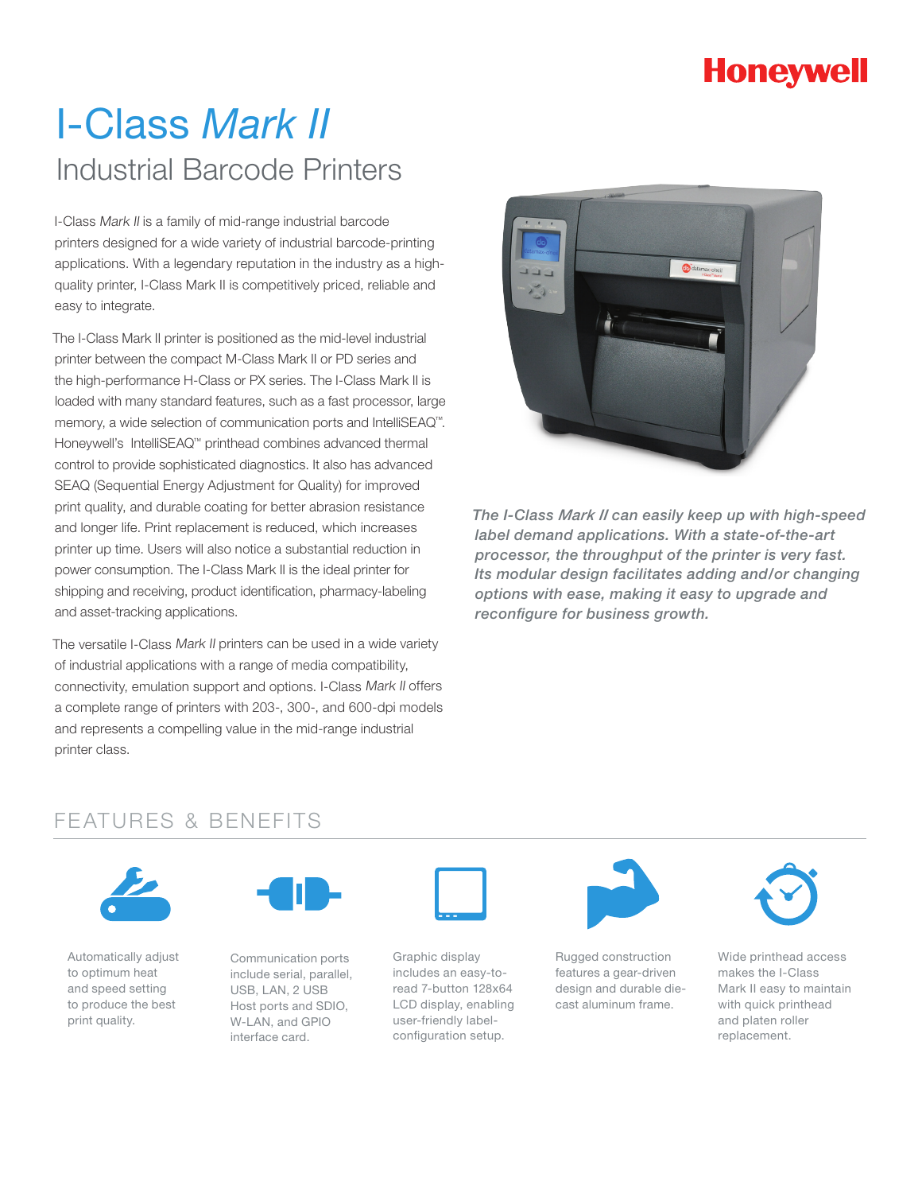# **Honeywell**

# I-Class *Mark II*  Industrial Barcode Printers

I-Class Mark II is a family of mid-range industrial barcode printers designed for a wide variety of industrial barcode-printing applications. With a legendary reputation in the industry as a highquality printer, I-Class Mark II is competitively priced, reliable and easy to integrate.

The I-Class Mark II printer is positioned as the mid-level industrial printer between the compact M-Class Mark II or PD series and the high-performance H-Class or PX series. The I-Class Mark II is loaded with many standard features, such as a fast processor, large memory, a wide selection of communication ports and IntelliSEAQ™. Honeywell's IntelliSEAQ™ printhead combines advanced thermal control to provide sophisticated diagnostics. It also has advanced SEAQ (Sequential Energy Adjustment for Quality) for improved print quality, and durable coating for better abrasion resistance and longer life. Print replacement is reduced, which increases printer up time. Users will also notice a substantial reduction in power consumption. The I-Class Mark II is the ideal printer for shipping and receiving, product identification, pharmacy-labeling and asset-tracking applications.

The versatile I-Class Mark II printers can be used in a wide variety of industrial applications with a range of media compatibility, connectivity, emulation support and options. I-Class Mark II offers a complete range of printers with 203-, 300-, and 600-dpi models and represents a compelling value in the mid-range industrial printer class.



*The I-Class Mark II can easily keep up with high-speed label demand applications. With a state-of-the-art processor, the throughput of the printer is very fast. Its modular design facilitates adding and/or changing options with ease, making it easy to upgrade and reconfigure for business growth.*

### FEATURES & BENEFITS



Automatically adjust to optimum heat and speed setting to produce the best print quality.



Communication ports include serial, parallel, USB, LAN, 2 USB Host ports and SDIO, W-LAN, and GPIO interface card.



Graphic display includes an easy-toread 7-button 128x64 LCD display, enabling user-friendly labelconfiguration setup.



Rugged construction features a gear-driven design and durable diecast aluminum frame.



Wide printhead access makes the I-Class Mark II easy to maintain with quick printhead and platen roller replacement.